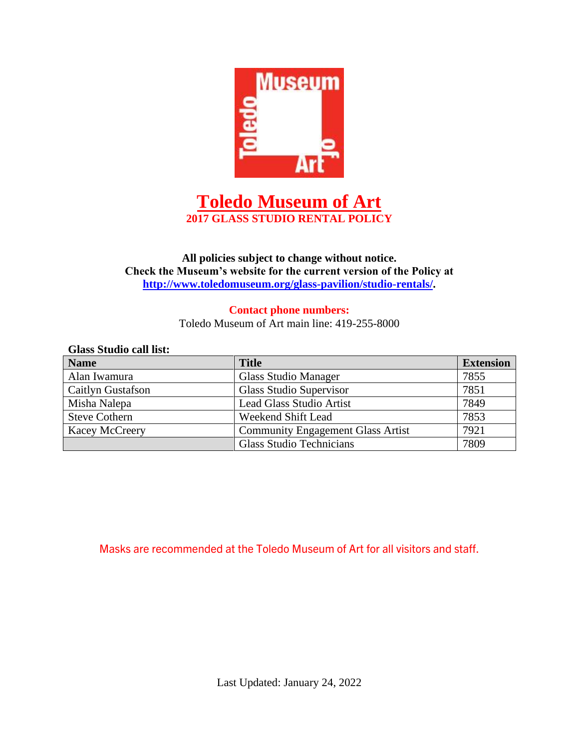

# **Toledo Museum of Art 2017 GLASS STUDIO RENTAL POLICY**

## **All policies subject to change without notice. Check the Museum's website for the current version of the Policy at [http://www.toledomuseum.org/glass-pavilion/studio-rentals/.](http://www.toledomuseum.org/glass-pavilion/studio-rentals/)**

#### **Contact phone numbers:** Toledo Museum of Art main line: 419-255-8000

| <b>Glass Studio call list:</b> |                                          |                  |  |
|--------------------------------|------------------------------------------|------------------|--|
| <b>Name</b>                    | <b>Title</b>                             | <b>Extension</b> |  |
| Alan Iwamura                   | <b>Glass Studio Manager</b>              | 7855             |  |
| Caitlyn Gustafson              | Glass Studio Supervisor                  | 7851             |  |
| Misha Nalepa                   | <b>Lead Glass Studio Artist</b>          | 7849             |  |
| <b>Steve Cothern</b>           | Weekend Shift Lead                       | 7853             |  |
| <b>Kacey McCreery</b>          | <b>Community Engagement Glass Artist</b> | 7921             |  |
|                                | <b>Glass Studio Technicians</b>          | 7809             |  |

## Masks are recommended at the Toledo Museum of Art for all visitors and staff.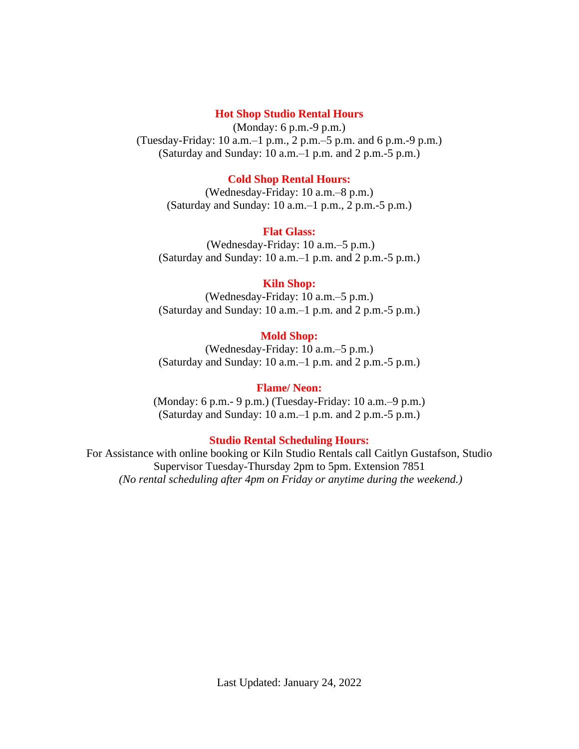#### **Hot Shop Studio Rental Hours**

(Monday: 6 p.m.-9 p.m.) (Tuesday-Friday: 10 a.m.–1 p.m., 2 p.m.–5 p.m. and 6 p.m.-9 p.m.) (Saturday and Sunday: 10 a.m.–1 p.m. and 2 p.m.-5 p.m.)

#### **Cold Shop Rental Hours:**

(Wednesday-Friday: 10 a.m.–8 p.m.) (Saturday and Sunday: 10 a.m.–1 p.m., 2 p.m.-5 p.m.)

#### **Flat Glass:**

(Wednesday-Friday: 10 a.m.–5 p.m.) (Saturday and Sunday: 10 a.m.–1 p.m. and 2 p.m.-5 p.m.)

### **Kiln Shop:**

(Wednesday-Friday: 10 a.m.–5 p.m.) (Saturday and Sunday: 10 a.m.–1 p.m. and 2 p.m.-5 p.m.)

#### **Mold Shop:**

(Wednesday-Friday: 10 a.m.–5 p.m.) (Saturday and Sunday: 10 a.m.–1 p.m. and 2 p.m.-5 p.m.)

#### **Flame/ Neon:**

(Monday: 6 p.m.- 9 p.m.) (Tuesday-Friday: 10 a.m.–9 p.m.) (Saturday and Sunday: 10 a.m.–1 p.m. and 2 p.m.-5 p.m.)

#### **Studio Rental Scheduling Hours:**

For Assistance with online booking or Kiln Studio Rentals call Caitlyn Gustafson, Studio Supervisor Tuesday-Thursday 2pm to 5pm. Extension 7851 *(No rental scheduling after 4pm on Friday or anytime during the weekend.)*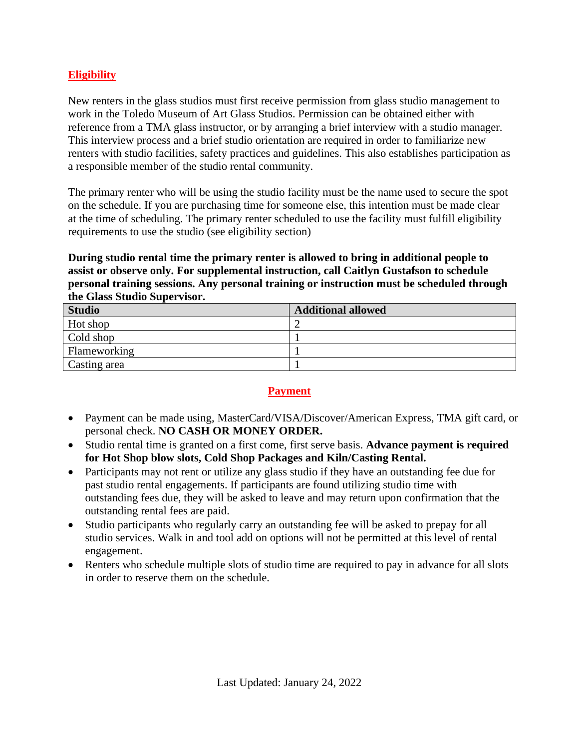## **Eligibility**

New renters in the glass studios must first receive permission from glass studio management to work in the Toledo Museum of Art Glass Studios. Permission can be obtained either with reference from a TMA glass instructor, or by arranging a brief interview with a studio manager. This interview process and a brief studio orientation are required in order to familiarize new renters with studio facilities, safety practices and guidelines. This also establishes participation as a responsible member of the studio rental community.

The primary renter who will be using the studio facility must be the name used to secure the spot on the schedule. If you are purchasing time for someone else, this intention must be made clear at the time of scheduling. The primary renter scheduled to use the facility must fulfill eligibility requirements to use the studio (see eligibility section)

### **During studio rental time the primary renter is allowed to bring in additional people to assist or observe only. For supplemental instruction, call Caitlyn Gustafson to schedule personal training sessions. Any personal training or instruction must be scheduled through the Glass Studio Supervisor.**

| <b>Studio</b> | <b>Additional allowed</b> |
|---------------|---------------------------|
| Hot shop      |                           |
| Cold shop     |                           |
| Flameworking  |                           |
| Casting area  |                           |

### **Payment**

- Payment can be made using, MasterCard/VISA/Discover/American Express, TMA gift card, or personal check. **NO CASH OR MONEY ORDER.**
- Studio rental time is granted on a first come, first serve basis. **Advance payment is required for Hot Shop blow slots, Cold Shop Packages and Kiln/Casting Rental.**
- Participants may not rent or utilize any glass studio if they have an outstanding fee due for past studio rental engagements. If participants are found utilizing studio time with outstanding fees due, they will be asked to leave and may return upon confirmation that the outstanding rental fees are paid.
- Studio participants who regularly carry an outstanding fee will be asked to prepay for all studio services. Walk in and tool add on options will not be permitted at this level of rental engagement.
- Renters who schedule multiple slots of studio time are required to pay in advance for all slots in order to reserve them on the schedule.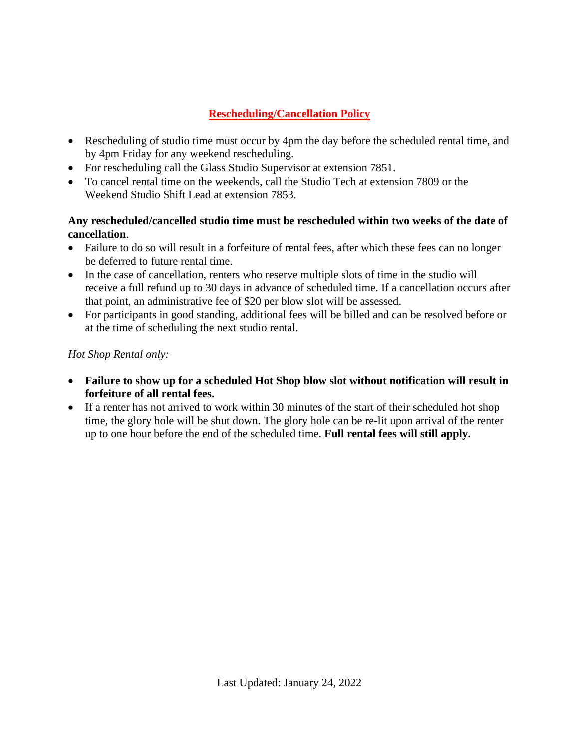## **Rescheduling/Cancellation Policy**

- Rescheduling of studio time must occur by 4pm the day before the scheduled rental time, and by 4pm Friday for any weekend rescheduling.
- For rescheduling call the Glass Studio Supervisor at extension 7851.
- To cancel rental time on the weekends, call the Studio Tech at extension 7809 or the Weekend Studio Shift Lead at extension 7853.

## **Any rescheduled/cancelled studio time must be rescheduled within two weeks of the date of cancellation**.

- Failure to do so will result in a forfeiture of rental fees, after which these fees can no longer be deferred to future rental time.
- In the case of cancellation, renters who reserve multiple slots of time in the studio will receive a full refund up to 30 days in advance of scheduled time. If a cancellation occurs after that point, an administrative fee of \$20 per blow slot will be assessed.
- For participants in good standing, additional fees will be billed and can be resolved before or at the time of scheduling the next studio rental.

*Hot Shop Rental only:*

- **Failure to show up for a scheduled Hot Shop blow slot without notification will result in forfeiture of all rental fees.**
- If a renter has not arrived to work within 30 minutes of the start of their scheduled hot shop time, the glory hole will be shut down. The glory hole can be re-lit upon arrival of the renter up to one hour before the end of the scheduled time. **Full rental fees will still apply.**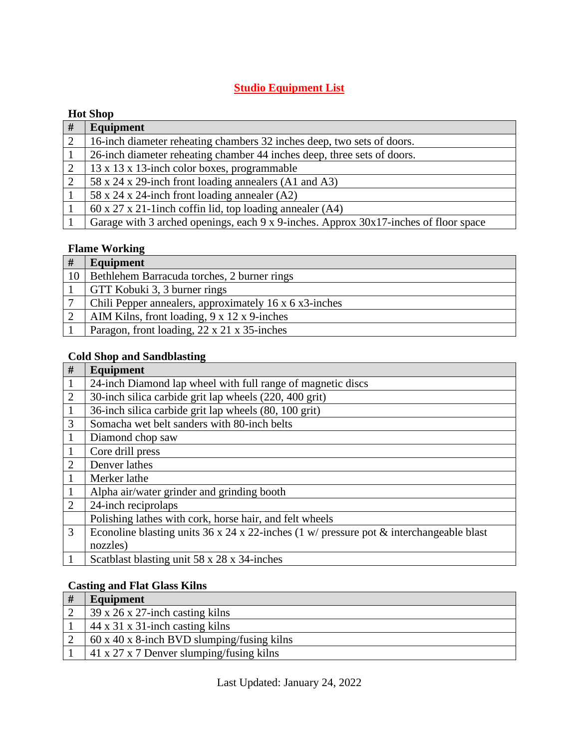## **Studio Equipment List**

## **Hot Shop**

| #              | Equipment                                                                            |
|----------------|--------------------------------------------------------------------------------------|
| $\overline{2}$ | 16-inch diameter reheating chambers 32 inches deep, two sets of doors.               |
|                | 26-inch diameter reheating chamber 44 inches deep, three sets of doors.              |
|                | 13 x 13 x 13-inch color boxes, programmable                                          |
|                | 58 x 24 x 29-inch front loading annealers (A1 and A3)                                |
|                | 58 x 24 x 24-inch front loading annealer (A2)                                        |
|                | $60 \times 27 \times 21$ -linch coffin lid, top loading annealer (A4)                |
|                | Garage with 3 arched openings, each 9 x 9-inches. Approx 30x17-inches of floor space |

## **Flame Working**

| #  | Equipment                                                |
|----|----------------------------------------------------------|
| 10 | Bethlehem Barracuda torches, 2 burner rings              |
|    | GTT Kobuki 3, 3 burner rings                             |
|    | Chili Pepper annealers, approximately 16 x 6 x3-inches   |
|    | AIM Kilns, front loading, $9 \times 12 \times 9$ -inches |
|    | Paragon, front loading, 22 x 21 x 35-inches              |

## **Cold Shop and Sandblasting**

| #              | Equipment                                                                                  |
|----------------|--------------------------------------------------------------------------------------------|
|                | 24-inch Diamond lap wheel with full range of magnetic discs                                |
| $\overline{2}$ | 30-inch silica carbide grit lap wheels (220, 400 grit)                                     |
|                | 36-inch silica carbide grit lap wheels (80, 100 grit)                                      |
| 3              | Somacha wet belt sanders with 80-inch belts                                                |
|                | Diamond chop saw                                                                           |
|                | Core drill press                                                                           |
| $\overline{2}$ | Denver lathes                                                                              |
|                | Merker lathe                                                                               |
|                | Alpha air/water grinder and grinding booth                                                 |
| $\overline{2}$ | 24-inch reciprolaps                                                                        |
|                | Polishing lathes with cork, horse hair, and felt wheels                                    |
| 3              | Econoline blasting units 36 x 24 x 22-inches (1 w/ pressure pot $\&$ interchangeable blast |
|                | nozzles)                                                                                   |
|                | Scatblast blasting unit 58 x 28 x 34-inches                                                |

## **Casting and Flat Glass Kilns**

| Equipment                                               |
|---------------------------------------------------------|
| $\frac{1}{29}$ x 26 x 27-inch casting kilns             |
| $44 \times 31 \times 31$ -inch casting kilns            |
| $60 \times 40 \times 8$ -inch BVD slumping/fusing kilns |
| $\vert$ 41 x 27 x 7 Denver slumping/fusing kilns        |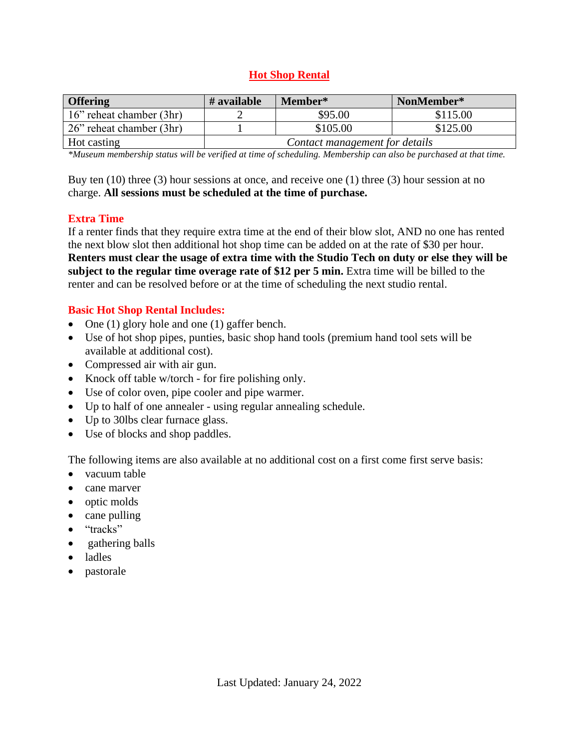## **Hot Shop Rental**

| <b>Offering</b>                  | # available                    | Member*  | NonMember* |
|----------------------------------|--------------------------------|----------|------------|
| $\vert$ 16" reheat chamber (3hr) |                                | \$95.00  | \$115.00   |
| $\vert$ 26" reheat chamber (3hr) |                                | \$105.00 | \$125.00   |
| Hot casting                      | Contact management for details |          |            |

*\*Museum membership status will be verified at time of scheduling. Membership can also be purchased at that time.*

Buy ten (10) three (3) hour sessions at once, and receive one (1) three (3) hour session at no charge. **All sessions must be scheduled at the time of purchase.**

### **Extra Time**

If a renter finds that they require extra time at the end of their blow slot, AND no one has rented the next blow slot then additional hot shop time can be added on at the rate of \$30 per hour. **Renters must clear the usage of extra time with the Studio Tech on duty or else they will be subject to the regular time overage rate of \$12 per 5 min.** Extra time will be billed to the renter and can be resolved before or at the time of scheduling the next studio rental.

### **Basic Hot Shop Rental Includes:**

- One (1) glory hole and one (1) gaffer bench.
- Use of hot shop pipes, punties, basic shop hand tools (premium hand tool sets will be available at additional cost).
- Compressed air with air gun.
- Knock off table w/torch for fire polishing only.
- Use of color oven, pipe cooler and pipe warmer.
- Up to half of one annealer using regular annealing schedule.
- Up to 30lbs clear furnace glass.
- Use of blocks and shop paddles.

The following items are also available at no additional cost on a first come first serve basis:

- vacuum table
- cane marver
- optic molds
- cane pulling
- "tracks"
- gathering balls
- ladles
- pastorale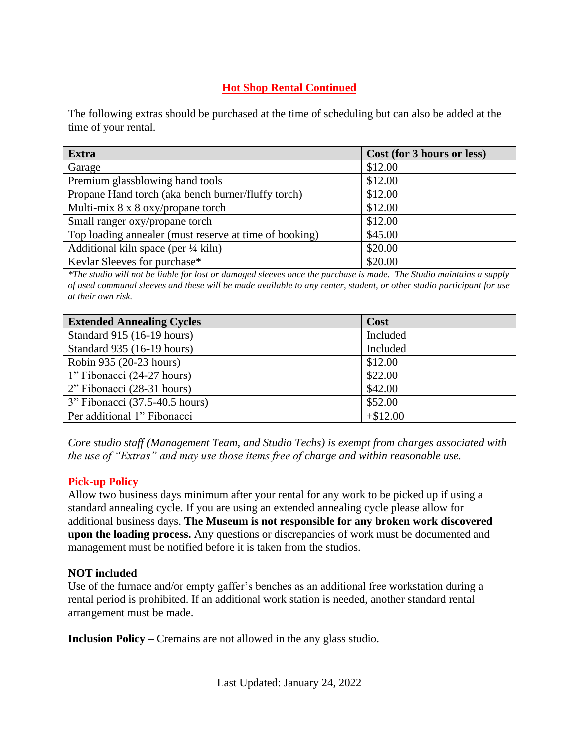## **Hot Shop Rental Continued**

The following extras should be purchased at the time of scheduling but can also be added at the time of your rental.

| <b>Extra</b>                                           | Cost (for 3 hours or less) |
|--------------------------------------------------------|----------------------------|
| Garage                                                 | \$12.00                    |
| Premium glassblowing hand tools                        | \$12.00                    |
| Propane Hand torch (aka bench burner/fluffy torch)     | \$12.00                    |
| Multi-mix $8 \times 8$ oxy/propane torch               | \$12.00                    |
| Small ranger oxy/propane torch                         | \$12.00                    |
| Top loading annealer (must reserve at time of booking) | \$45.00                    |
| Additional kiln space (per $\frac{1}{4}$ kiln)         | \$20.00                    |
| Kevlar Sleeves for purchase*                           | \$20.00                    |

*\*The studio will not be liable for lost or damaged sleeves once the purchase is made. The Studio maintains a supply of used communal sleeves and these will be made available to any renter, student, or other studio participant for use at their own risk.*

| <b>Extended Annealing Cycles</b> | Cost       |
|----------------------------------|------------|
| Standard 915 (16-19 hours)       | Included   |
| Standard 935 (16-19 hours)       | Included   |
| Robin 935 (20-23 hours)          | \$12.00    |
| 1" Fibonacci (24-27 hours)       | \$22.00    |
| 2" Fibonacci (28-31 hours)       | \$42.00    |
| 3" Fibonacci (37.5-40.5 hours)   | \$52.00    |
| Per additional 1" Fibonacci      | $+\$12.00$ |

*Core studio staff (Management Team, and Studio Techs) is exempt from charges associated with the use of "Extras" and may use those items free of charge and within reasonable use.*

### **Pick-up Policy**

Allow two business days minimum after your rental for any work to be picked up if using a standard annealing cycle. If you are using an extended annealing cycle please allow for additional business days. **The Museum is not responsible for any broken work discovered upon the loading process.** Any questions or discrepancies of work must be documented and management must be notified before it is taken from the studios.

### **NOT included**

Use of the furnace and/or empty gaffer's benches as an additional free workstation during a rental period is prohibited. If an additional work station is needed, another standard rental arrangement must be made.

**Inclusion Policy –** Cremains are not allowed in the any glass studio.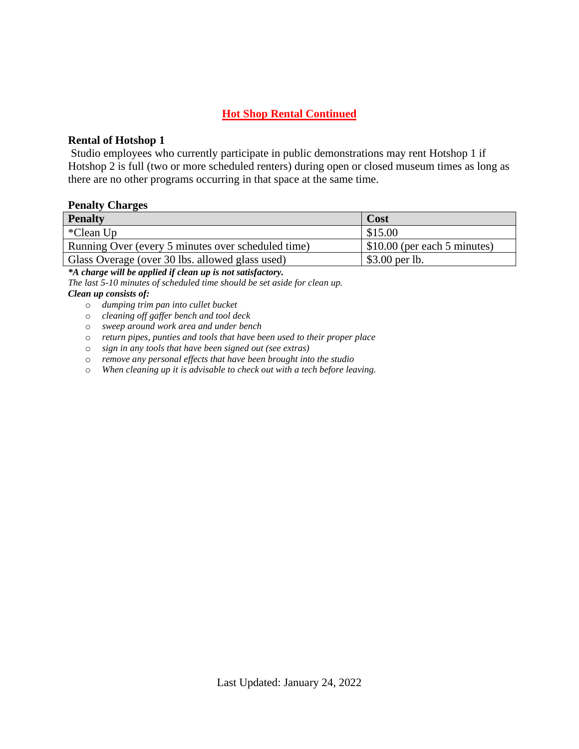## **Hot Shop Rental Continued**

### **Rental of Hotshop 1**

Studio employees who currently participate in public demonstrations may rent Hotshop 1 if Hotshop 2 is full (two or more scheduled renters) during open or closed museum times as long as there are no other programs occurring in that space at the same time.

#### **Penalty Charges**

| <b>Penalty</b>                                     | Cost                                       |
|----------------------------------------------------|--------------------------------------------|
| *Clean Up                                          | \$15.00                                    |
| Running Over (every 5 minutes over scheduled time) | $\frac{1}{2}$ \$10.00 (per each 5 minutes) |
| Glass Overage (over 30 lbs. allowed glass used)    | $$3.00$ per lb.                            |

*\*A charge will be applied if clean up is not satisfactory.*

*The last 5-10 minutes of scheduled time should be set aside for clean up. Clean up consists of:* 

- o *dumping trim pan into cullet bucket*
- o *cleaning off gaffer bench and tool deck*
- o *sweep around work area and under bench*
- o *return pipes, punties and tools that have been used to their proper place*
- o *sign in any tools that have been signed out (see extras)*
- o *remove any personal effects that have been brought into the studio*
- o *When cleaning up it is advisable to check out with a tech before leaving.*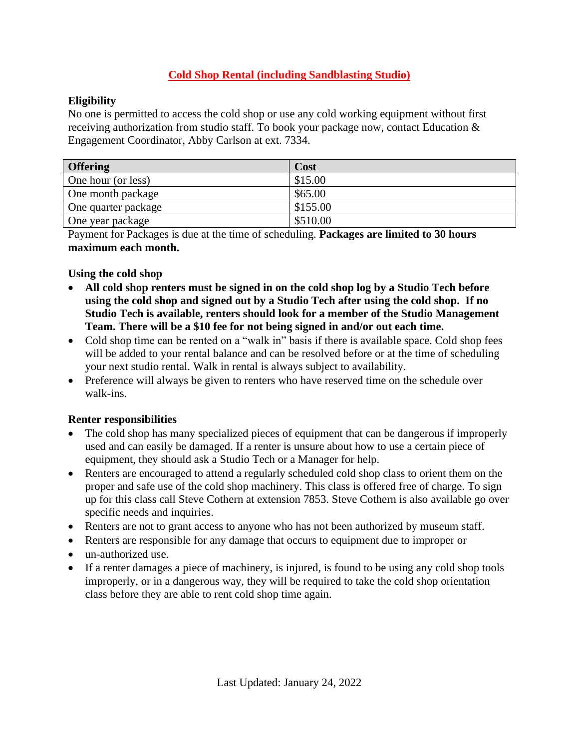## **Cold Shop Rental (including Sandblasting Studio)**

## **Eligibility**

No one is permitted to access the cold shop or use any cold working equipment without first receiving authorization from studio staff. To book your package now, contact Education & Engagement Coordinator, Abby Carlson at ext. 7334.

| <b>Offering</b>     | Cost     |
|---------------------|----------|
| One hour (or less)  | \$15.00  |
| One month package   | \$65.00  |
| One quarter package | \$155.00 |
| One year package    | \$510.00 |

Payment for Packages is due at the time of scheduling. **Packages are limited to 30 hours maximum each month.**

### **Using the cold shop**

- **All cold shop renters must be signed in on the cold shop log by a Studio Tech before using the cold shop and signed out by a Studio Tech after using the cold shop. If no Studio Tech is available, renters should look for a member of the Studio Management Team. There will be a \$10 fee for not being signed in and/or out each time.**
- Cold shop time can be rented on a "walk in" basis if there is available space. Cold shop fees will be added to your rental balance and can be resolved before or at the time of scheduling your next studio rental. Walk in rental is always subject to availability.
- Preference will always be given to renters who have reserved time on the schedule over walk-ins.

### **Renter responsibilities**

- The cold shop has many specialized pieces of equipment that can be dangerous if improperly used and can easily be damaged. If a renter is unsure about how to use a certain piece of equipment, they should ask a Studio Tech or a Manager for help.
- Renters are encouraged to attend a regularly scheduled cold shop class to orient them on the proper and safe use of the cold shop machinery. This class is offered free of charge. To sign up for this class call Steve Cothern at extension 7853. Steve Cothern is also available go over specific needs and inquiries.
- Renters are not to grant access to anyone who has not been authorized by museum staff.
- Renters are responsible for any damage that occurs to equipment due to improper or
- un-authorized use.
- If a renter damages a piece of machinery, is injured, is found to be using any cold shop tools improperly, or in a dangerous way, they will be required to take the cold shop orientation class before they are able to rent cold shop time again.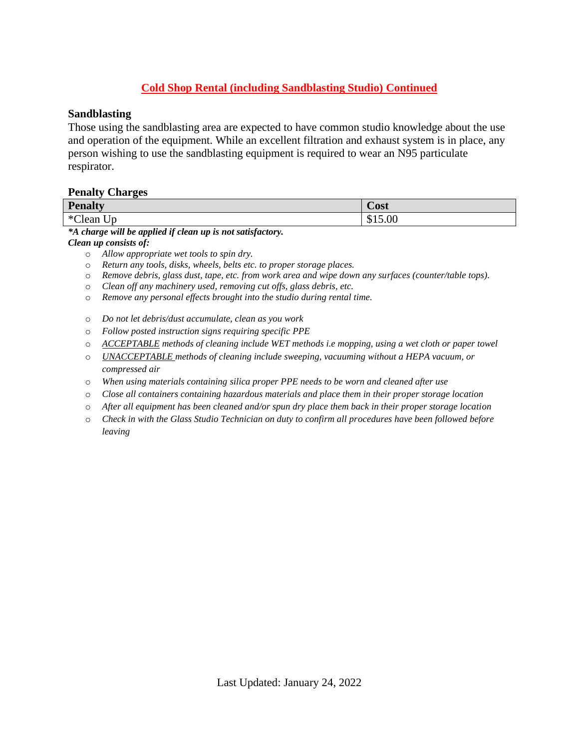## **Cold Shop Rental (including Sandblasting Studio) Continued**

### **Sandblasting**

Those using the sandblasting area are expected to have common studio knowledge about the use and operation of the equipment. While an excellent filtration and exhaust system is in place, any person wishing to use the sandblasting equipment is required to wear an N95 particulate respirator.

#### **Penalty Charges**

| <b>Penalty</b>                   | $\sim$<br><b>Cost</b> |
|----------------------------------|-----------------------|
| $*$ $C1$<br>$ -$<br>Jp.<br>Clean | \$15.00               |

*\*A charge will be applied if clean up is not satisfactory.*

*Clean up consists of:* 

- o *Allow appropriate wet tools to spin dry.*
- o *Return any tools, disks, wheels, belts etc. to proper storage places.*
- o *Remove debris, glass dust, tape, etc. from work area and wipe down any surfaces (counter/table tops).*
- o *Clean off any machinery used, removing cut offs, glass debris, etc.*
- o *Remove any personal effects brought into the studio during rental time.*
- o *Do not let debris/dust accumulate, clean as you work*
- o *Follow posted instruction signs requiring specific PPE*
- o *ACCEPTABLE methods of cleaning include WET methods i.e mopping, using a wet cloth or paper towel*
- o *UNACCEPTABLE methods of cleaning include sweeping, vacuuming without a HEPA vacuum, or compressed air*
- o *When using materials containing silica proper PPE needs to be worn and cleaned after use*
- o *Close all containers containing hazardous materials and place them in their proper storage location*
- o *After all equipment has been cleaned and/or spun dry place them back in their proper storage location*
- o *Check in with the Glass Studio Technician on duty to confirm all procedures have been followed before leaving*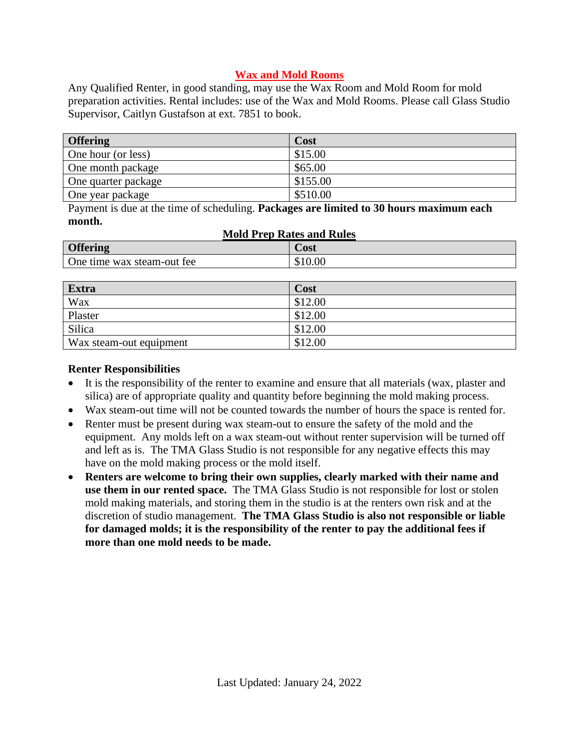## **Wax and Mold Rooms**

Any Qualified Renter, in good standing, may use the Wax Room and Mold Room for mold preparation activities. Rental includes: use of the Wax and Mold Rooms. Please call Glass Studio Supervisor, Caitlyn Gustafson at ext. 7851 to book.

| <b>Offering</b>     | Cost     |
|---------------------|----------|
| One hour (or less)  | \$15.00  |
| One month package   | \$65.00  |
| One quarter package | \$155.00 |
| One year package    | \$510.00 |

Payment is due at the time of scheduling. **Packages are limited to 30 hours maximum each month.**

| <b>Mold Prep Rates and Rules</b> |         |  |
|----------------------------------|---------|--|
| <b>Offering</b>                  | Cost    |  |
| One time wax steam-out fee       | \$10.00 |  |

| Extra                   | Cost    |
|-------------------------|---------|
| Wax                     | \$12.00 |
| Plaster                 | \$12.00 |
| Silica                  | \$12.00 |
| Wax steam-out equipment | \$12.00 |

## **Renter Responsibilities**

- It is the responsibility of the renter to examine and ensure that all materials (wax, plaster and silica) are of appropriate quality and quantity before beginning the mold making process.
- Wax steam-out time will not be counted towards the number of hours the space is rented for.
- Renter must be present during wax steam-out to ensure the safety of the mold and the equipment. Any molds left on a wax steam-out without renter supervision will be turned off and left as is. The TMA Glass Studio is not responsible for any negative effects this may have on the mold making process or the mold itself.
- **Renters are welcome to bring their own supplies, clearly marked with their name and use them in our rented space.** The TMA Glass Studio is not responsible for lost or stolen mold making materials, and storing them in the studio is at the renters own risk and at the discretion of studio management. **The TMA Glass Studio is also not responsible or liable for damaged molds; it is the responsibility of the renter to pay the additional fees if more than one mold needs to be made.**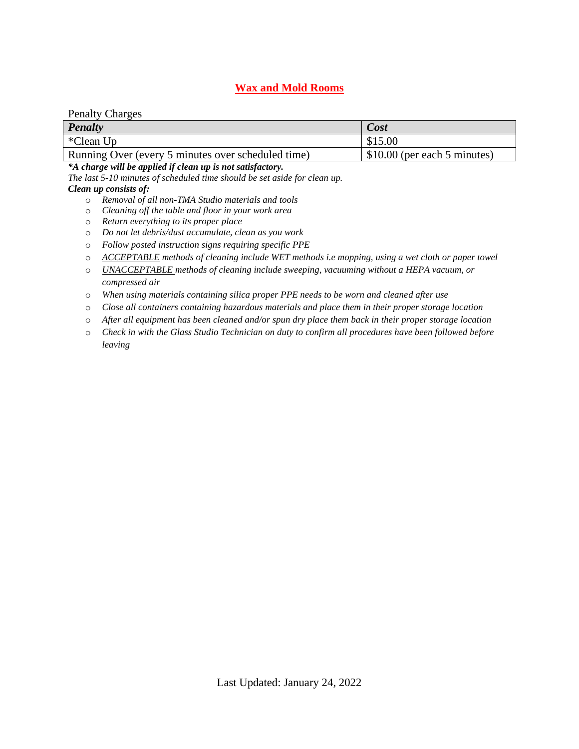### **Wax and Mold Rooms**

#### Penalty Charges

| <b>Penalty</b>                                     | Cost                                       |
|----------------------------------------------------|--------------------------------------------|
| *Clean Up                                          | \$15.00                                    |
| Running Over (every 5 minutes over scheduled time) | $\frac{1}{2}$ \$10.00 (per each 5 minutes) |

#### *\*A charge will be applied if clean up is not satisfactory.*

*The last 5-10 minutes of scheduled time should be set aside for clean up.*

#### *Clean up consists of:*

- o *Removal of all non-TMA Studio materials and tools*
- o *Cleaning off the table and floor in your work area*
- o *Return everything to its proper place*
- o *Do not let debris/dust accumulate, clean as you work*
- o *Follow posted instruction signs requiring specific PPE*
- o *ACCEPTABLE methods of cleaning include WET methods i.e mopping, using a wet cloth or paper towel*
- o *UNACCEPTABLE methods of cleaning include sweeping, vacuuming without a HEPA vacuum, or compressed air*
- o *When using materials containing silica proper PPE needs to be worn and cleaned after use*
- o *Close all containers containing hazardous materials and place them in their proper storage location*
- o *After all equipment has been cleaned and/or spun dry place them back in their proper storage location*
- o *Check in with the Glass Studio Technician on duty to confirm all procedures have been followed before leaving*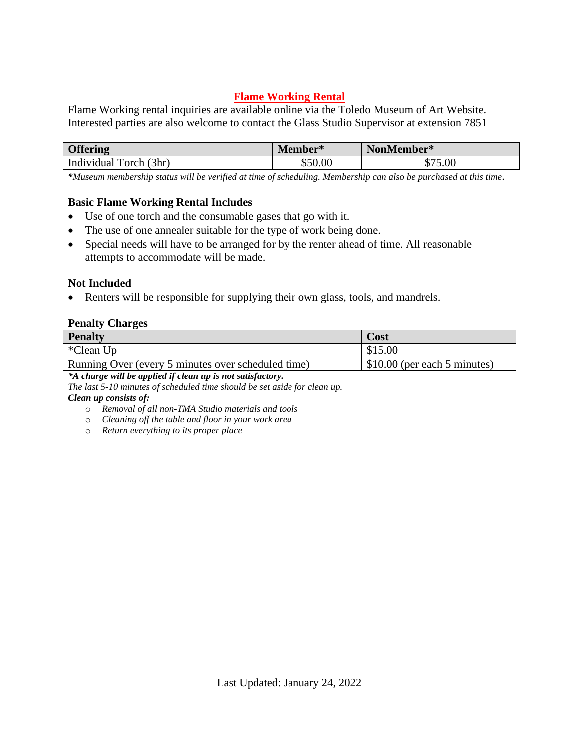## **Flame Working Rental**

Flame Working rental inquiries are available online via the Toledo Museum of Art Website. Interested parties are also welcome to contact the Glass Studio Supervisor at extension 7851

| <b>Offering</b>            | Member* | NonMember*  |
|----------------------------|---------|-------------|
| Forch (3hr)<br>Individual' | ሐ ~ ^   | - -<br>0.00 |

*\*Museum membership status will be verified at time of scheduling. Membership can also be purchased at this time*.

### **Basic Flame Working Rental Includes**

- Use of one torch and the consumable gases that go with it.
- The use of one annealer suitable for the type of work being done.
- Special needs will have to be arranged for by the renter ahead of time. All reasonable attempts to accommodate will be made.

### **Not Included**

• Renters will be responsible for supplying their own glass, tools, and mandrels.

#### **Penalty Charges**

| <b>Penalty</b>                                     | Cost                                       |
|----------------------------------------------------|--------------------------------------------|
| *Clean Up                                          | \$15.00                                    |
| Running Over (every 5 minutes over scheduled time) | $\frac{1}{2}$ \$10.00 (per each 5 minutes) |

*\*A charge will be applied if clean up is not satisfactory.*

*The last 5-10 minutes of scheduled time should be set aside for clean up. Clean up consists of:* 

- o *Removal of all non-TMA Studio materials and tools*
- o *Cleaning off the table and floor in your work area*
- o *Return everything to its proper place*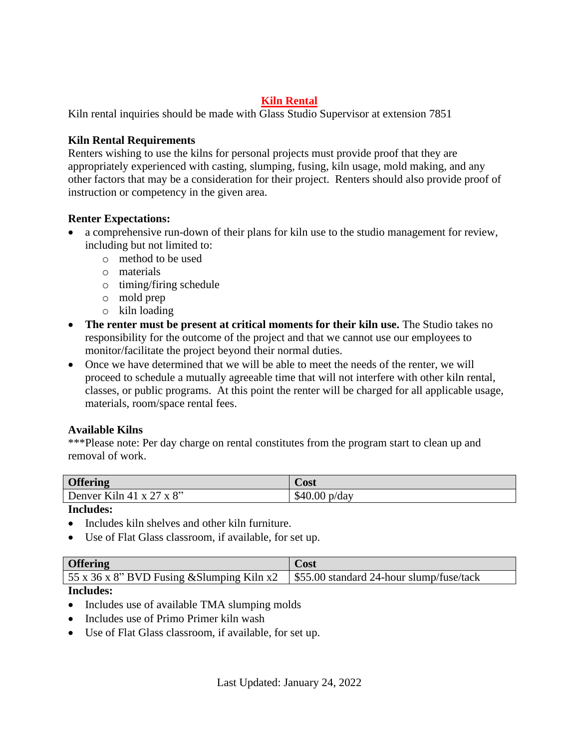## **Kiln Rental**

Kiln rental inquiries should be made with Glass Studio Supervisor at extension 7851

### **Kiln Rental Requirements**

Renters wishing to use the kilns for personal projects must provide proof that they are appropriately experienced with casting, slumping, fusing, kiln usage, mold making, and any other factors that may be a consideration for their project. Renters should also provide proof of instruction or competency in the given area.

## **Renter Expectations:**

- a comprehensive run-down of their plans for kiln use to the studio management for review, including but not limited to:
	- o method to be used
	- o materials
	- o timing/firing schedule
	- o mold prep
	- o kiln loading
- **The renter must be present at critical moments for their kiln use.** The Studio takes no responsibility for the outcome of the project and that we cannot use our employees to monitor/facilitate the project beyond their normal duties.
- Once we have determined that we will be able to meet the needs of the renter, we will proceed to schedule a mutually agreeable time that will not interfere with other kiln rental, classes, or public programs. At this point the renter will be charged for all applicable usage, materials, room/space rental fees.

## **Available Kilns**

\*\*\*Please note: Per day charge on rental constitutes from the program start to clean up and removal of work.

| <b>Offering</b>          | Cost                   |
|--------------------------|------------------------|
| Denver Kiln 41 x 27 x 8" | $$40.00 \text{ p/day}$ |
| .                        |                        |

### **Includes:**

- Includes kiln shelves and other kiln furniture.
- Use of Flat Glass classroom, if available, for set up.

| <b>Offering</b>                                                                       | Cost |
|---------------------------------------------------------------------------------------|------|
| 55 x 36 x 8" BVD Fusing & Slumping Kiln x2   \$55.00 standard 24-hour slump/fuse/tack |      |
|                                                                                       |      |

### **Includes:**

- Includes use of available TMA slumping molds
- Includes use of Primo Primer kiln wash
- Use of Flat Glass classroom, if available, for set up.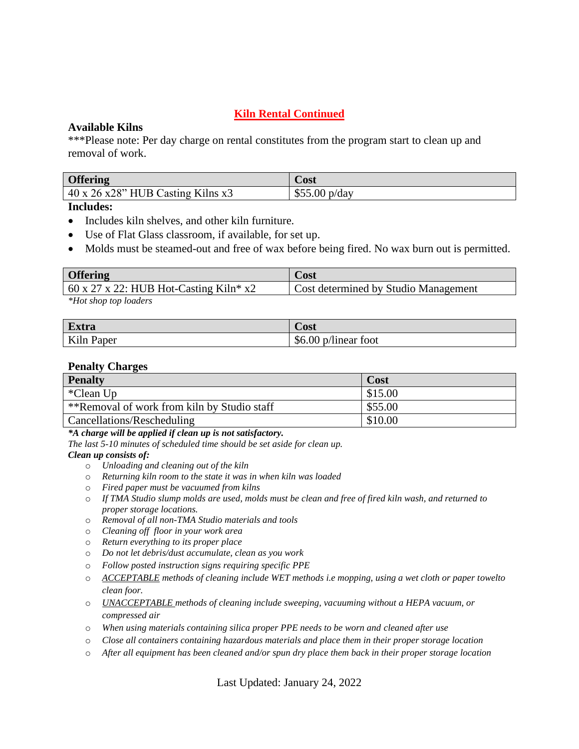## **Kiln Rental Continued**

### **Available Kilns**

\*\*\*Please note: Per day charge on rental constitutes from the program start to clean up and removal of work.

| <b>Offering</b>                                 | Cost                   |
|-------------------------------------------------|------------------------|
| $40 \times 26 \times 28$ " HUB Casting Kilns x3 | $\mu$ p/day<br>\$55.00 |

#### **Includes:**

- Includes kiln shelves, and other kiln furniture.
- Use of Flat Glass classroom, if available, for set up.

• Molds must be steamed-out and free of wax before being fired. No wax burn out is permitted.

| <b>Offering</b>                                      | Cost                                 |
|------------------------------------------------------|--------------------------------------|
| $\frac{1}{2}$ 60 x 27 x 22: HUB Hot-Casting Kiln* x2 | Cost determined by Studio Management |
| *Hot shop top loaders                                |                                      |

*\*Hot shop top loaders*

| <b>Extra</b>    | Cost                                 |
|-----------------|--------------------------------------|
| Kiln I<br>Paper | $\sim$<br>\$6.00<br>toot<br>p/linear |

#### **Penalty Charges**

| <b>Penalty</b>                              | Cost    |
|---------------------------------------------|---------|
| *Clean Up                                   | \$15.00 |
| **Removal of work from kiln by Studio staff | \$55.00 |
| Cancellations/Rescheduling                  | \$10.00 |

*\*A charge will be applied if clean up is not satisfactory.*

*The last 5-10 minutes of scheduled time should be set aside for clean up.*

#### *Clean up consists of:*

- o *Unloading and cleaning out of the kiln*
- o *Returning kiln room to the state it was in when kiln was loaded*
- o *Fired paper must be vacuumed from kilns*
- o *If TMA Studio slump molds are used, molds must be clean and free of fired kiln wash, and returned to proper storage locations.*
- o *Removal of all non-TMA Studio materials and tools*
- o *Cleaning off floor in your work area*
- o *Return everything to its proper place*
- o *Do not let debris/dust accumulate, clean as you work*
- o *Follow posted instruction signs requiring specific PPE*
- o *ACCEPTABLE methods of cleaning include WET methods i.e mopping, using a wet cloth or paper towelto clean foor.*
- o *UNACCEPTABLE methods of cleaning include sweeping, vacuuming without a HEPA vacuum, or compressed air*
- o *When using materials containing silica proper PPE needs to be worn and cleaned after use*
- o *Close all containers containing hazardous materials and place them in their proper storage location*
- o *After all equipment has been cleaned and/or spun dry place them back in their proper storage location*

Last Updated: January 24, 2022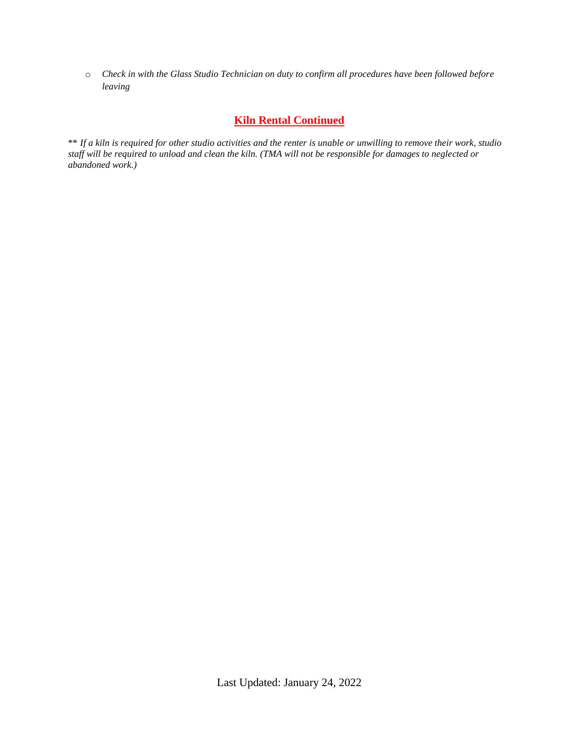o *Check in with the Glass Studio Technician on duty to confirm all procedures have been followed before leaving*

### **Kiln Rental Continued**

\*\* *If a kiln is required for other studio activities and the renter is unable or unwilling to remove their work, studio staff will be required to unload and clean the kiln. (TMA will not be responsible for damages to neglected or abandoned work.)*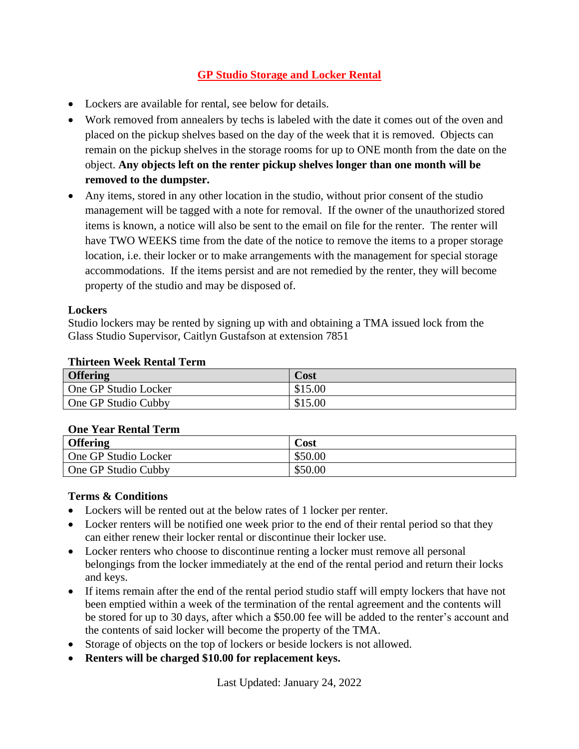## **GP Studio Storage and Locker Rental**

- Lockers are available for rental, see below for details.
- Work removed from annealers by techs is labeled with the date it comes out of the oven and placed on the pickup shelves based on the day of the week that it is removed. Objects can remain on the pickup shelves in the storage rooms for up to ONE month from the date on the object. **Any objects left on the renter pickup shelves longer than one month will be removed to the dumpster.**
- Any items, stored in any other location in the studio, without prior consent of the studio management will be tagged with a note for removal. If the owner of the unauthorized stored items is known, a notice will also be sent to the email on file for the renter. The renter will have TWO WEEKS time from the date of the notice to remove the items to a proper storage location, i.e. their locker or to make arrangements with the management for special storage accommodations. If the items persist and are not remedied by the renter, they will become property of the studio and may be disposed of.

### **Lockers**

Studio lockers may be rented by signing up with and obtaining a TMA issued lock from the Glass Studio Supervisor, Caitlyn Gustafson at extension 7851

#### **Thirteen Week Rental Term**

| <b>Offering</b>            | Cost    |
|----------------------------|---------|
| One GP Studio Locker       | \$15.00 |
| <b>One GP Studio Cubby</b> | \$15.00 |

#### **One Year Rental Term**

| <b>Offering</b>      | Cost    |
|----------------------|---------|
| One GP Studio Locker | \$50.00 |
| One GP Studio Cubby  | \$50.00 |

#### **Terms & Conditions**

- Lockers will be rented out at the below rates of 1 locker per renter.
- Locker renters will be notified one week prior to the end of their rental period so that they can either renew their locker rental or discontinue their locker use.
- Locker renters who choose to discontinue renting a locker must remove all personal belongings from the locker immediately at the end of the rental period and return their locks and keys.
- If items remain after the end of the rental period studio staff will empty lockers that have not been emptied within a week of the termination of the rental agreement and the contents will be stored for up to 30 days, after which a \$50.00 fee will be added to the renter's account and the contents of said locker will become the property of the TMA.
- Storage of objects on the top of lockers or beside lockers is not allowed.
- **Renters will be charged \$10.00 for replacement keys.**